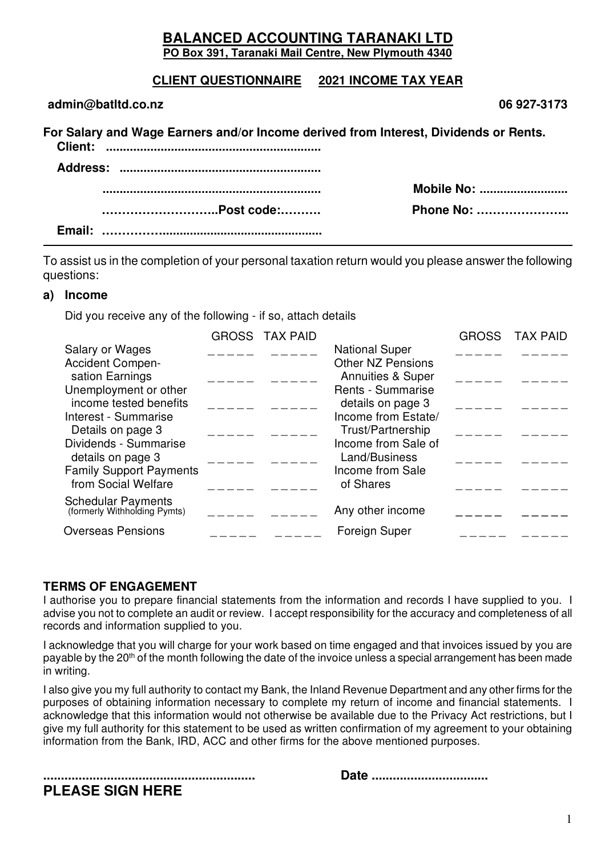#### **BALANCED ACCOUNTING TARANAKI LTD PO Box 391, Taranaki Mail Centre, New Plymouth 4340**

### **CLIENT QUESTIONNAIRE 2021 INCOME TAX YEAR**

| admin@batItd.co.nz                                                                   | 06 927-3173        |
|--------------------------------------------------------------------------------------|--------------------|
| For Salary and Wage Earners and/or Income derived from Interest, Dividends or Rents. |                    |
|                                                                                      |                    |
|                                                                                      | <b>Mobile No: </b> |
|                                                                                      | Phone No:          |
|                                                                                      |                    |

To assist us in the completion of your personal taxation return would you please answer the following questions:

#### **a) Income**

Did you receive any of the following - if so, attach details

|                                                           | <b>GROSS TAX PAID</b> |                                                          | <b>GROSS</b> | <b>TAX PAID</b> |
|-----------------------------------------------------------|-----------------------|----------------------------------------------------------|--------------|-----------------|
| Salary or Wages<br><b>Accident Compen-</b>                |                       | <b>National Super</b><br><b>Other NZ Pensions</b>        |              |                 |
| sation Earnings<br>Unemployment or other                  |                       | <b>Annuities &amp; Super</b><br><b>Rents - Summarise</b> |              |                 |
| income tested benefits<br>Interest - Summarise            |                       | details on page 3<br>Income from Estate/                 |              |                 |
| Details on page 3<br>Dividends - Summarise                |                       | Trust/Partnership<br>Income from Sale of                 |              |                 |
| details on page 3<br><b>Family Support Payments</b>       |                       | Land/Business<br>Income from Sale                        |              |                 |
| from Social Welfare                                       |                       | of Shares                                                |              |                 |
| <b>Schedular Payments</b><br>(formerly Withholding Pymts) |                       | Any other income                                         |              |                 |
| <b>Overseas Pensions</b>                                  |                       | <b>Foreign Super</b>                                     |              |                 |
|                                                           |                       |                                                          |              |                 |

#### **TERMS OF ENGAGEMENT**

I authorise you to prepare financial statements from the information and records I have supplied to you. I advise you not to complete an audit or review. I accept responsibility for the accuracy and completeness of all records and information supplied to you.

I acknowledge that you will charge for your work based on time engaged and that invoices issued by you are payable by the 20<sup>th</sup> of the month following the date of the invoice unless a special arrangement has been made in writing.

I also give you my full authority to contact my Bank, the Inland Revenue Department and any other firms for the purposes of obtaining information necessary to complete my return of income and financial statements. I acknowledge that this information would not otherwise be available due to the Privacy Act restrictions, but I give my full authority for this statement to be used as written confirmation of my agreement to your obtaining information from the Bank, IRD, ACC and other firms for the above mentioned purposes.

**PLEASE SIGN HERE** 

**............................................................ Date .................................** 

| Date |  |
|------|--|
|------|--|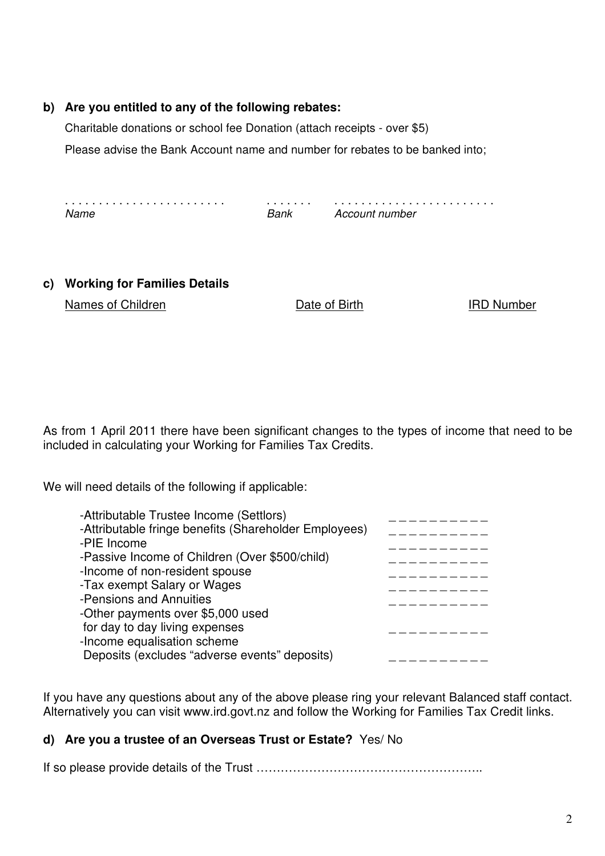#### **b) Are you entitled to any of the following rebates:**

Charitable donations or school fee Donation (attach receipts - over \$5)

Please advise the Bank Account name and number for rebates to be banked into;

. . . . . . . . . . . . . . . . . . . . . . . . . . . . . . . . . . . . . . . . . . . . . . . . . . . . . . . Name Bank Account number

#### **c) Working for Families Details**

Names of Children **IRD Number** Date of Birth IRD Number

As from 1 April 2011 there have been significant changes to the types of income that need to be included in calculating your Working for Families Tax Credits.

We will need details of the following if applicable:

| -Attributable Trustee Income (Settlors)<br>-Attributable fringe benefits (Shareholder Employees) |  |
|--------------------------------------------------------------------------------------------------|--|
| -PIE Income                                                                                      |  |
| -Passive Income of Children (Over \$500/child)                                                   |  |
| -Income of non-resident spouse                                                                   |  |
| -Tax exempt Salary or Wages                                                                      |  |
| -Pensions and Annuities<br>-Other payments over \$5,000 used                                     |  |
| for day to day living expenses                                                                   |  |
| -Income equalisation scheme                                                                      |  |
| Deposits (excludes "adverse events" deposits)                                                    |  |

If you have any questions about any of the above please ring your relevant Balanced staff contact. Alternatively you can visit www.ird.govt.nz and follow the Working for Families Tax Credit links.

### **d) Are you a trustee of an Overseas Trust or Estate?** Yes/ No

If so please provide details of the Trust ………………………………………………..